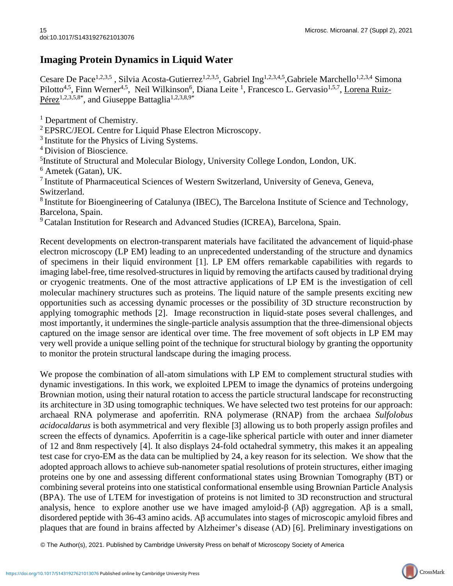## **Imaging Protein Dynamics in Liquid Water**

Cesare De Pace<sup>1,2,3,5</sup>, Silvia Acosta-Gutierrez<sup>1,2,3,5</sup>, Gabriel Ing<sup>1,2,3,4,5</sup>,Gabriele Marchello<sup>1,2,3,4</sup> Simona Pilotto<sup>4,5</sup>, Finn Werner<sup>4,5</sup>, Neil Wilkinson<sup>6</sup>, Diana Leite<sup>1</sup>, Francesco L. Gervasio<sup>1,5,7</sup>, <u>Lorena Ruiz-</u>  $P$ érez<sup>1,2,3,5,8\*</sup>, and Giuseppe Battaglia<sup>1,2,3,8,9\*</sup>

<sup>1</sup> Department of Chemistry.

<sup>2</sup> EPSRC/JEOL Centre for Liquid Phase Electron Microscopy.

<sup>3</sup> Institute for the Physics of Living Systems.

<sup>4</sup> Division of Bioscience.

<sup>5</sup>Institute of Structural and Molecular Biology, University College London, London, UK.

<sup>6</sup> Ametek (Gatan), UK.

<sup>7</sup>Institute of Pharmaceutical Sciences of Western Switzerland, University of Geneva, Geneva, Switzerland.

<sup>8</sup> Institute for Bioengineering of Catalunya (IBEC), The Barcelona Institute of Science and Technology, Barcelona, Spain.

<sup>9</sup> Catalan Institution for Research and Advanced Studies (ICREA), Barcelona, Spain.

Recent developments on electron-transparent materials have facilitated the advancement of liquid-phase electron microscopy (LP EM) leading to an unprecedented understanding of the structure and dynamics of specimens in their liquid environment [1]. LP EM offers remarkable capabilities with regards to imaging label-free, time resolved-structures in liquid by removing the artifacts caused by traditional drying or cryogenic treatments. One of the most attractive applications of LP EM is the investigation of cell molecular machinery structures such as proteins. The liquid nature of the sample presents exciting new opportunities such as accessing dynamic processes or the possibility of 3D structure reconstruction by applying tomographic methods [2]. Image reconstruction in liquid-state poses several challenges, and most importantly, it undermines the single-particle analysis assumption that the three-dimensional objects captured on the image sensor are identical over time. The free movement of soft objects in LP EM may very well provide a unique selling point of the technique for structural biology by granting the opportunity to monitor the protein structural landscape during the imaging process.

We propose the combination of all-atom simulations with LP EM to complement structural studies with dynamic investigations. In this work, we exploited LPEM to image the dynamics of proteins undergoing Brownian motion, using their natural rotation to access the particle structural landscape for reconstructing its architecture in 3D using tomographic techniques. We have selected two test proteins for our approach: archaeal RNA polymerase and apoferritin. RNA polymerase (RNAP) from the archaea *Sulfolobus acidocaldarus* is both asymmetrical and very flexible [3] allowing us to both properly assign profiles and screen the effects of dynamics. Apoferritin is a cage-like spherical particle with outer and inner diameter of 12 and 8nm respectively [4]. It also displays 24-fold octahedral symmetry, this makes it an appealing test case for cryo-EM as the data can be multiplied by 24, a key reason for its selection. We show that the adopted approach allows to achieve sub-nanometer spatial resolutions of protein structures, either imaging proteins one by one and assessing different conformational states using Brownian Tomography (BT) or combining several proteins into one statistical conformational ensemble using Brownian Particle Analysis (BPA). The use of LTEM for investigation of proteins is not limited to 3D reconstruction and structural analysis, hence to explore another use we have imaged amyloid- $\beta$  (A $\beta$ ) aggregation. A $\beta$  is a small, disordered peptide with 36-43 amino acids. Aβ accumulates into stages of microscopic amyloid fibres and plaques that are found in brains affected by Alzheimer's disease (AD) [6]. Preliminary investigations on

© The Author(s), 2021. Published by Cambridge University Press on behalf of Microscopy Society of America